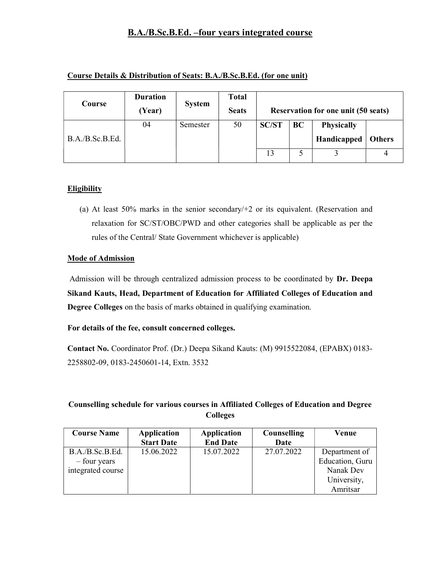# B.A./B.Sc.B.Ed. –four years integrated course

| Course Details & Distribution of Seats: B.A./B.Sc.B.Ed. (for one unit) |  |  |
|------------------------------------------------------------------------|--|--|
|------------------------------------------------------------------------|--|--|

| Course          | <b>Duration</b><br>(Year) | <b>System</b> | Total<br><b>Seats</b> | <b>Reservation for one unit (50 seats)</b> |    |                                  |               |
|-----------------|---------------------------|---------------|-----------------------|--------------------------------------------|----|----------------------------------|---------------|
| B.A./B.Sc.B.Ed. | 04                        | Semester      | 50                    | <b>SC/ST</b>                               | BC | <b>Physically</b><br>Handicapped | <b>Others</b> |
|                 |                           |               |                       | 13                                         |    |                                  |               |

## **Eligibility**

(a) At least 50% marks in the senior secondary/+2 or its equivalent. (Reservation and relaxation for SC/ST/OBC/PWD and other categories shall be applicable as per the rules of the Central/ State Government whichever is applicable)

#### Mode of Admission

 Admission will be through centralized admission process to be coordinated by Dr. Deepa Sikand Kauts, Head, Department of Education for Affiliated Colleges of Education and Degree Colleges on the basis of marks obtained in qualifying examination.

#### For details of the fee, consult concerned colleges.

Contact No. Coordinator Prof. (Dr.) Deepa Sikand Kauts: (M) 9915522084, (EPABX) 0183- 2258802-09, 0183-2450601-14, Extn. 3532

# Counselling schedule for various courses in Affiliated Colleges of Education and Degree Colleges

| <b>Course Name</b> | <b>Application</b><br><b>Start Date</b> | <b>Application</b><br><b>End Date</b> | Counselling<br>Date | Venue           |
|--------------------|-----------------------------------------|---------------------------------------|---------------------|-----------------|
|                    |                                         |                                       |                     |                 |
| B.A./B.Sc.B.Ed.    | 15.06.2022                              | 15.07.2022                            | 27.07.2022          | Department of   |
| – four years       |                                         |                                       |                     | Education, Guru |
| integrated course  |                                         |                                       |                     | Nanak Dev       |
|                    |                                         |                                       |                     | University,     |
|                    |                                         |                                       |                     | Amritsar        |